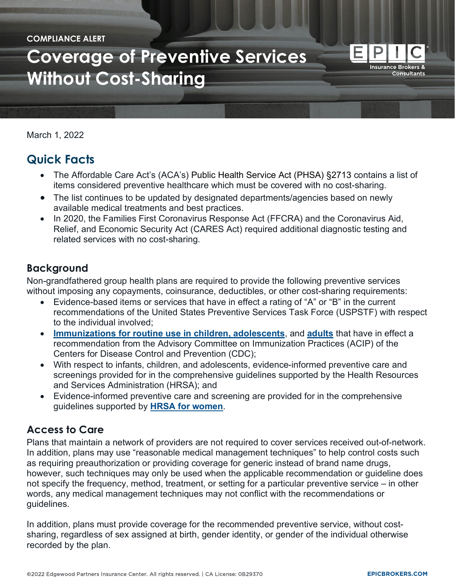#### **COMPLIANCE ALERT**

# **[Coverage of Preventive Services](https://epicbrokers.com/)  Without Cost-Sharing**

March 1, 2022

## **Quick Facts**

- The Affordable Care Act's (ACA's) Public Health Service Act (PHSA) §2713 contains a list of items considered preventive healthcare which must be covered with no cost-sharing.
- The list continues to be updated by designated departments/agencies based on newly available medical treatments and best practices.
- In 2020, the Families First Coronavirus Response Act (FFCRA) and the Coronavirus Aid, Relief, and Economic Security Act (CARES Act) required additional diagnostic testing and related services with no cost-sharing.

#### **Background**

Non-grandfathered group health plans are required to provide the following preventive services without imposing any copayments, coinsurance, deductibles, or other cost-sharing requirements:

- Evidence-based items or services that have in effect a rating of "A" or "B" in the current recommendations of the United States Preventive Services Task Force (USPSTF) with respect to the individual involved;
- **[Immunizations for routine use in children, adolescents](https://www.cdc.gov/vaccines/schedules/hcp/imz/child-adolescent.html?CDC_AA_refVal=https%3A%2F%2Fwww.cdc.gov%2Fvaccines%2Fschedules%2Fhcp%2Fchild-adolescent.html)**, and **[adults](https://www.cdc.gov/vaccines/schedules/hcp/imz/adult.html?CDC_AA_refVal=https%3A%2F%2Fwww.cdc.gov%2Fvaccines%2Fschedules%2Fhcp%2Fadult.html)** that have in effect a recommendation from the Advisory Committee on Immunization Practices (ACIP) of the Centers for Disease Control and Prevention (CDC);
- With respect to infants, children, and adolescents, evidence-informed preventive care and screenings provided for in the comprehensive guidelines supported by the Health Resources and Services Administration (HRSA); and
- Evidence-informed preventive care and screening are provided for in the comprehensive guidelines supported by **[HRSA for women](https://www.hrsa.gov/womens-guidelines-2016/index.html)**.

#### **Access to Care**

Plans that maintain a network of providers are not required to cover services received out-of-network. In addition, plans may use "reasonable medical management techniques" to help control costs such as requiring preauthorization or providing coverage for generic instead of brand name drugs, however, such techniques may only be used when the applicable recommendation or guideline does not specify the frequency, method, treatment, or setting for a particular preventive service – in other words, any medical management techniques may not conflict with the recommendations or guidelines.

In addition, plans must provide coverage for the recommended preventive service, without costsharing, regardless of sex assigned at birth, gender identity, or gender of the individual otherwise recorded by the plan.

┝

**Insurance Brokers & Consultants**